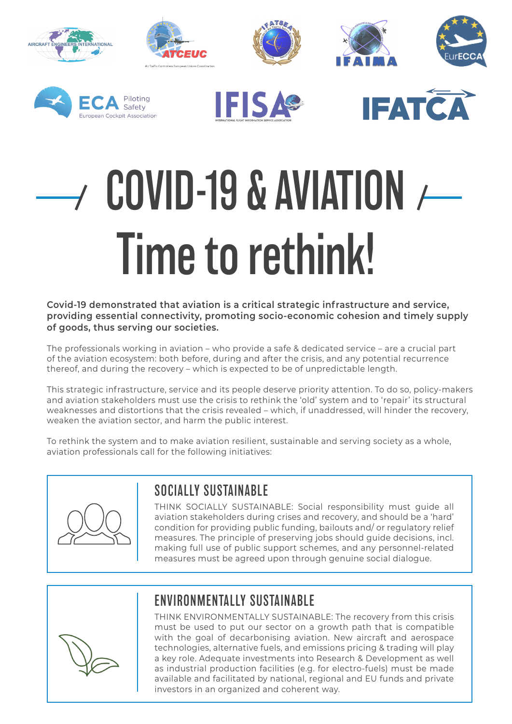







# $\rightarrow$  COVID-19 & AVIATION  $\rightarrow$ Time to rethink!

**Covid-19 demonstrated that aviation is a critical strategic infrastructure and service, providing essential connectivity, promoting socio-economic cohesion and timely supply of goods, thus serving our societies.** 

The professionals working in aviation – who provide a safe & dedicated service – are a crucial part of the aviation ecosystem: both before, during and after the crisis, and any potential recurrence thereof, and during the recovery – which is expected to be of unpredictable length.

This strategic infrastructure, service and its people deserve priority attention. To do so, policy-makers and aviation stakeholders must use the crisis to rethink the 'old' system and to 'repair' its structural weaknesses and distortions that the crisis revealed – which, if unaddressed, will hinder the recovery, weaken the aviation sector, and harm the public interest.

To rethink the system and to make aviation resilient, sustainable and serving society as a whole, aviation professionals call for the following initiatives:



#### SOCIALLY SUSTAINABLE

THINK SOCIALLY SUSTAINABLE: Social responsibility must guide all aviation stakeholders during crises and recovery, and should be a 'hard' condition for providing public funding, bailouts and/ or regulatory relief measures. The principle of preserving jobs should guide decisions, incl. making full use of public support schemes, and any personnel-related measures must be agreed upon through genuine social dialogue.

## ENVIRONMENTALLY SUSTAINABLE

THINK ENVIRONMENTALLY SUSTAINABLE: The recovery from this crisis must be used to put our sector on a growth path that is compatible with the goal of decarbonising aviation. New aircraft and aerospace technologies, alternative fuels, and emissions pricing & trading will play a key role. Adequate investments into Research & Development as well as industrial production facilities (e.g. for electro-fuels) must be made available and facilitated by national, regional and EU funds and private investors in an organized and coherent way.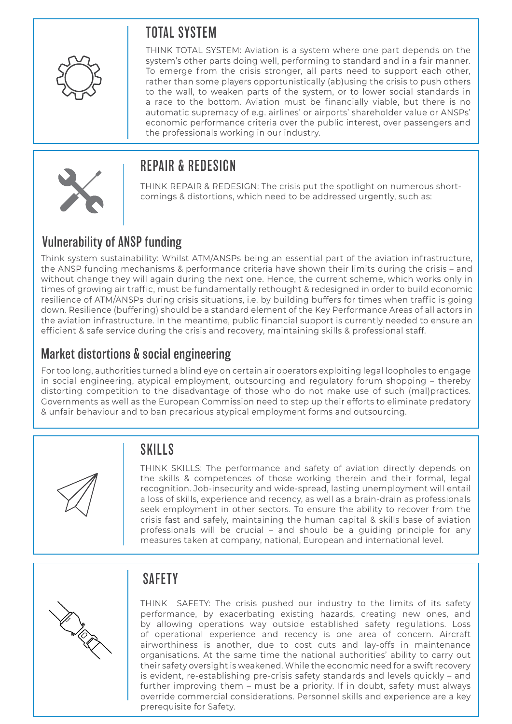### TOTAL SYSTEM



THINK TOTAL SYSTEM: Aviation is a system where one part depends on the system's other parts doing well, performing to standard and in a fair manner. To emerge from the crisis stronger, all parts need to support each other, rather than some players opportunistically (ab)using the crisis to push others to the wall, to weaken parts of the system, or to lower social standards in a race to the bottom. Aviation must be financially viable, but there is no automatic supremacy of e.g. airlines' or airports' shareholder value or ANSPs' economic performance criteria over the public interest, over passengers and the professionals working in our industry.

#### REPAIR & REDESIGN

THINK REPAIR & REDESIGN: The crisis put the spotlight on numerous shortcomings & distortions, which need to be addressed urgently, such as:

#### Vulnerability of ANSP funding

Think system sustainability: Whilst ATM/ANSPs being an essential part of the aviation infrastructure, the ANSP funding mechanisms & performance criteria have shown their limits during the crisis – and without change they will again during the next one. Hence, the current scheme, which works only in times of growing air traffic, must be fundamentally rethought & redesigned in order to build economic resilience of ATM/ANSPs during crisis situations, i.e. by building buffers for times when traffic is going down. Resilience (buffering) should be a standard element of the Key Performance Areas of all actors in the aviation infrastructure. In the meantime, public financial support is currently needed to ensure an efficient & safe service during the crisis and recovery, maintaining skills & professional staff.

#### Market distortions & social engineering

For too long, authorities turned a blind eye on certain air operators exploiting legal loopholes to engage in social engineering, atypical employment, outsourcing and regulatory forum shopping – thereby distorting competition to the disadvantage of those who do not make use of such (mal)practices. Governments as well as the European Commission need to step up their efforts to eliminate predatory & unfair behaviour and to ban precarious atypical employment forms and outsourcing.



### **SKILLS**

THINK SKILLS: The performance and safety of aviation directly depends on the skills & competences of those working therein and their formal, legal recognition. Job-insecurity and wide-spread, lasting unemployment will entail a loss of skills, experience and recency, as well as a brain-drain as professionals seek employment in other sectors. To ensure the ability to recover from the crisis fast and safely, maintaining the human capital & skills base of aviation professionals will be crucial – and should be a guiding principle for any measures taken at company, national, European and international level.



### **SAFFTY**

THINK SAFETY: The crisis pushed our industry to the limits of its safety performance, by exacerbating existing hazards, creating new ones, and by allowing operations way outside established safety regulations. Loss of operational experience and recency is one area of concern. Aircraft airworthiness is another, due to cost cuts and lay-offs in maintenance organisations. At the same time the national authorities' ability to carry out their safety oversight is weakened. While the economic need for a swift recovery is evident, re-establishing pre-crisis safety standards and levels quickly – and further improving them – must be a priority. If in doubt, safety must always override commercial considerations. Personnel skills and experience are a key prerequisite for Safety.